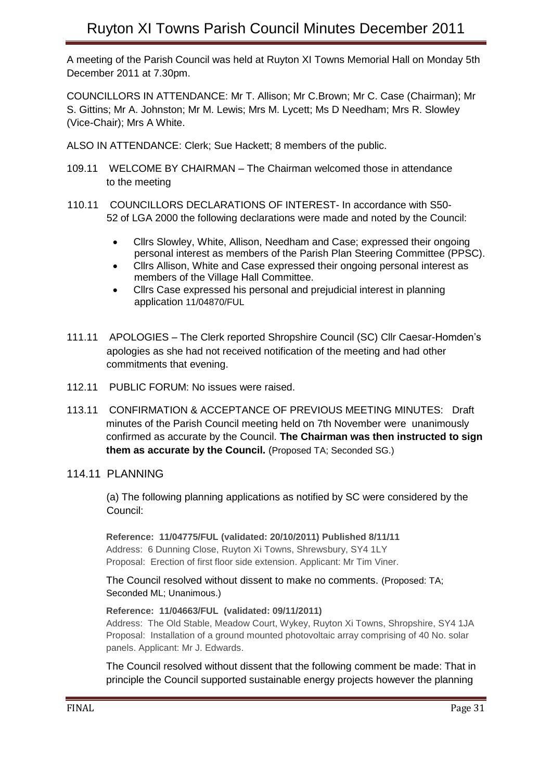A meeting of the Parish Council was held at Ruyton XI Towns Memorial Hall on Monday 5th December 2011 at 7.30pm.

COUNCILLORS IN ATTENDANCE: Mr T. Allison; Mr C.Brown; Mr C. Case (Chairman); Mr S. Gittins; Mr A. Johnston; Mr M. Lewis; Mrs M. Lycett; Ms D Needham; Mrs R. Slowley (Vice-Chair); Mrs A White.

ALSO IN ATTENDANCE: Clerk; Sue Hackett; 8 members of the public.

- 109.11 WELCOME BY CHAIRMAN The Chairman welcomed those in attendance to the meeting
- 110.11 COUNCILLORS DECLARATIONS OF INTEREST- In accordance with S50- 52 of LGA 2000 the following declarations were made and noted by the Council:
	- Cllrs Slowley, White, Allison, Needham and Case; expressed their ongoing personal interest as members of the Parish Plan Steering Committee (PPSC).
	- Cllrs Allison, White and Case expressed their ongoing personal interest as members of the Village Hall Committee.
	- Cllrs Case expressed his personal and prejudicial interest in planning application 11/04870/FUL
- 111.11 APOLOGIES The Clerk reported Shropshire Council (SC) Cllr Caesar-Homden's apologies as she had not received notification of the meeting and had other commitments that evening.
- 112.11 PUBLIC FORUM: No issues were raised.
- 113.11 CONFIRMATION & ACCEPTANCE OF PREVIOUS MEETING MINUTES: Draft minutes of the Parish Council meeting held on 7th November were unanimously confirmed as accurate by the Council. **The Chairman was then instructed to sign them as accurate by the Council.** (Proposed TA; Seconded SG.)
- 114.11 PLANNING

 (a) The following planning applications as notified by SC were considered by the Council:

**Reference: 11/04775/FUL (validated: 20/10/2011) Published 8/11/11** Address: 6 Dunning Close, Ruyton Xi Towns, Shrewsbury, SY4 1LY Proposal: Erection of first floor side extension. Applicant: Mr Tim Viner.

The Council resolved without dissent to make no comments. (Proposed: TA; Seconded ML; Unanimous.)

**Reference: 11/04663/FUL (validated: 09/11/2011)**

Address: The Old Stable, Meadow Court, Wykey, Ruyton Xi Towns, Shropshire, SY4 1JA Proposal: Installation of a ground mounted photovoltaic array comprising of 40 No. solar panels. Applicant: Mr J. Edwards.

The Council resolved without dissent that the following comment be made: That in principle the Council supported sustainable energy projects however the planning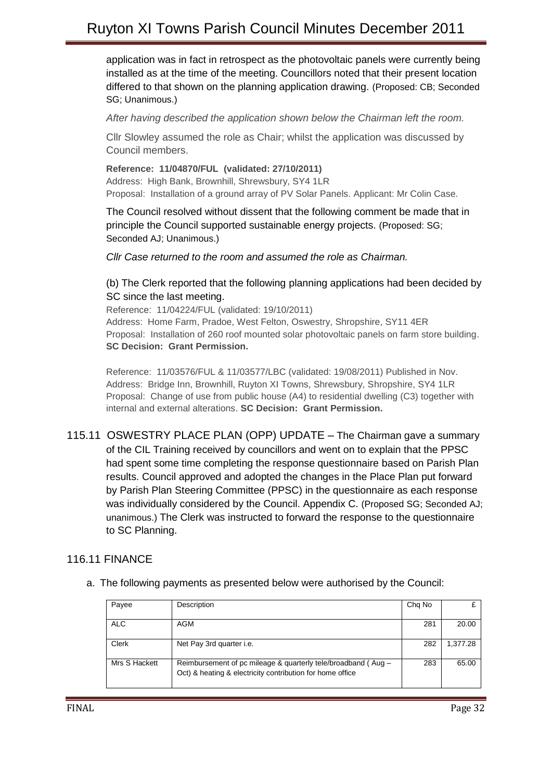## Ruyton XI Towns Parish Council Minutes December 2011

application was in fact in retrospect as the photovoltaic panels were currently being installed as at the time of the meeting. Councillors noted that their present location differed to that shown on the planning application drawing. (Proposed: CB; Seconded SG; Unanimous.)

*After having described the application shown below the Chairman left the room.*

Cllr Slowley assumed the role as Chair; whilst the application was discussed by Council members.

**Reference: 11/04870/FUL (validated: 27/10/2011)** Address: High Bank, Brownhill, Shrewsbury, SY4 1LR Proposal: Installation of a ground array of PV Solar Panels. Applicant: Mr Colin Case.

The Council resolved without dissent that the following comment be made that in principle the Council supported sustainable energy projects. (Proposed: SG; Seconded AJ; Unanimous.)

*Cllr Case returned to the room and assumed the role as Chairman.*

## (b) The Clerk reported that the following planning applications had been decided by SC since the last meeting.

Reference: 11/04224/FUL (validated: 19/10/2011) Address: Home Farm, Pradoe, West Felton, Oswestry, Shropshire, SY11 4ER Proposal: Installation of 260 roof mounted solar photovoltaic panels on farm store building. **SC Decision: Grant Permission.**

Reference: 11/03576/FUL & 11/03577/LBC (validated: 19/08/2011) Published in Nov. Address: Bridge Inn, Brownhill, Ruyton XI Towns, Shrewsbury, Shropshire, SY4 1LR Proposal: Change of use from public house (A4) to residential dwelling (C3) together with internal and external alterations. **SC Decision: Grant Permission.**

115.11 OSWESTRY PLACE PLAN (OPP) UPDATE – The Chairman gave a summary of the CIL Training received by councillors and went on to explain that the PPSC had spent some time completing the response questionnaire based on Parish Plan results. Council approved and adopted the changes in the Place Plan put forward by Parish Plan Steering Committee (PPSC) in the questionnaire as each response was individually considered by the Council. Appendix C. (Proposed SG; Seconded AJ; unanimous.) The Clerk was instructed to forward the response to the questionnaire to SC Planning.

## 116.11 FINANCE

a. The following payments as presented below were authorised by the Council:

| Payee         | Description                                                   | Chg No |          |
|---------------|---------------------------------------------------------------|--------|----------|
|               |                                                               |        |          |
| <b>ALC</b>    | AGM                                                           | 281    | 20.00    |
|               |                                                               |        |          |
| <b>Clerk</b>  | Net Pay 3rd quarter i.e.                                      | 282    | 1.377.28 |
|               |                                                               |        |          |
| Mrs S Hackett | Reimbursement of pc mileage & quarterly tele/broadband (Aug – | 283    | 65.00    |
|               | Oct) & heating & electricity contribution for home office     |        |          |
|               |                                                               |        |          |